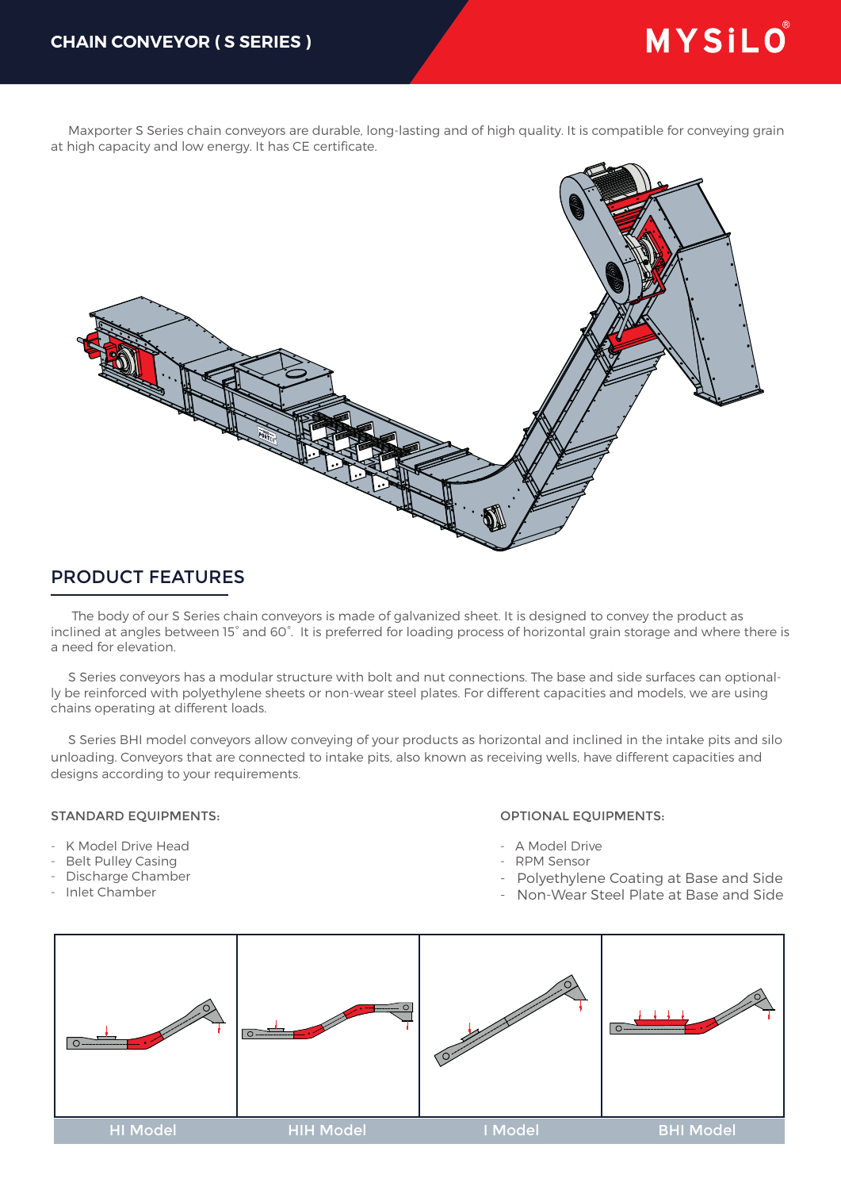# MYSILO®

 Maxporter S Series chain conveyors are durable, long-lasting and of high quality. It is compatible for conveying grain at high capacity and low energy. It has CE certificate.



# PRODUCT FEATURES

 The body of our S Series chain conveyors is made of galvanized sheet. It is designed to convey the product as inclined at angles between 15° and 60°. It is preferred for loading process of horizontal grain storage and where there is a need for elevation.

 S Series conveyors has a modular structure with bolt and nut connections. The base and side surfaces can optionally be reinforced with polyethylene sheets or non-wear steel plates. For different capacities and models, we are using chains operating at different loads.

 S Series BHI model conveyors allow conveying of your products as horizontal and inclined in the intake pits and silo unloading. Conveyors that are connected to intake pits, also known as receiving wells, have different capacities and designs according to your requirements.

### STANDARD EQUIPMENTS:

- K Model Drive Head
- Belt Pulley Casing
- Discharge Chamber
- Inlet Chamber

#### OPTIONAL EQUIPMENTS:

- A Model Drive
	- RPM Sensor
	- Polyethylene Coating at Base and Side
	- Non-Wear Steel Plate at Base and Side